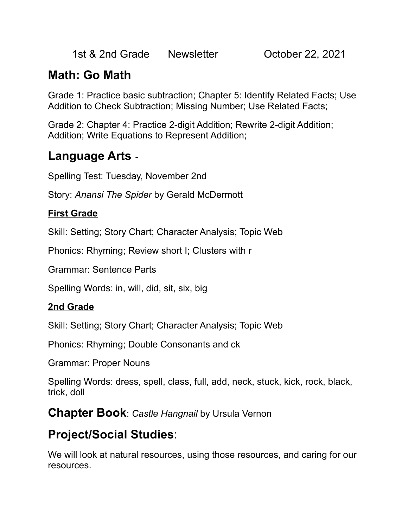1st & 2nd Grade Newsletter **Carlo Corporation Corporation** 1st & 2nd Grade

## **Math: Go Math**

Grade 1: Practice basic subtraction; Chapter 5: Identify Related Facts; Use Addition to Check Subtraction; Missing Number; Use Related Facts;

Grade 2: Chapter 4: Practice 2-digit Addition; Rewrite 2-digit Addition; Addition; Write Equations to Represent Addition;

#### **Language Arts** -

Spelling Test: Tuesday, November 2nd

Story: *Anansi The Spider* by Gerald McDermott

#### **First Grade**

Skill: Setting; Story Chart; Character Analysis; Topic Web

Phonics: Rhyming; Review short I; Clusters with r

Grammar: Sentence Parts

Spelling Words: in, will, did, sit, six, big

#### **2nd Grade**

Skill: Setting; Story Chart; Character Analysis; Topic Web

Phonics: Rhyming; Double Consonants and ck

Grammar: Proper Nouns

Spelling Words: dress, spell, class, full, add, neck, stuck, kick, rock, black, trick, doll

**Chapter Book**: *Castle Hangnail* by Ursula Vernon

# **Project/Social Studies**:

We will look at natural resources, using those resources, and caring for our resources.